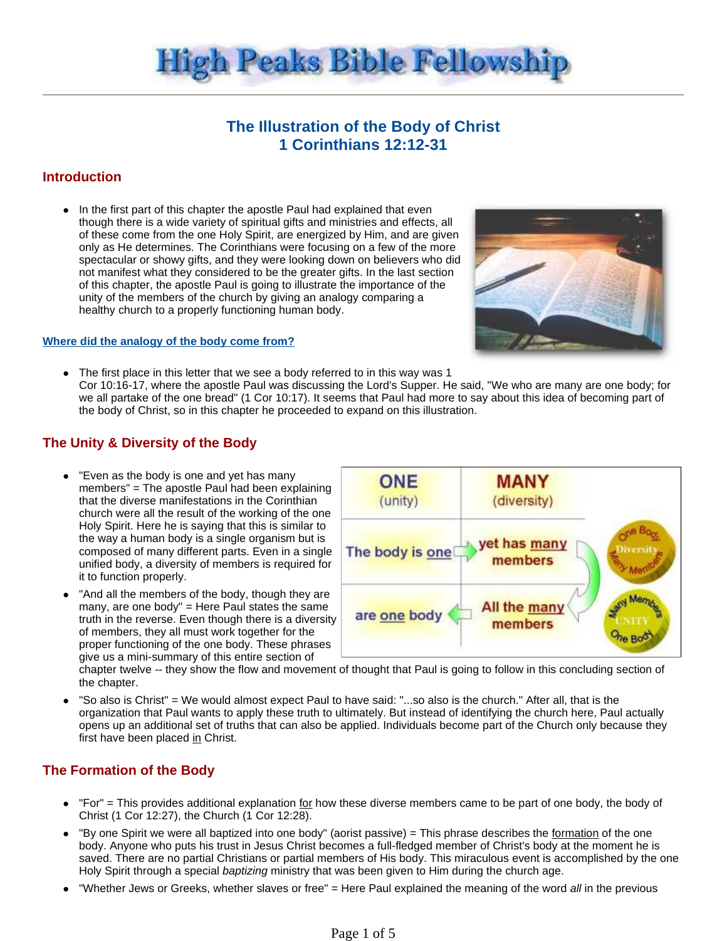

# **The Illustration of the Body of Christ 1 Corinthians 12:12-31**

## **Introduction**

In the first part of this chapter the apostle Paul had explained that even though there is a wide variety of spiritual gifts and ministries and effects, all of these come from the one Holy Spirit, are energized by Him, and are given only as He determines. The Corinthians were focusing on a few of the more spectacular or showy gifts, and they were looking down on believers who did not manifest what they considered to be the greater gifts. In the last section of this chapter, the apostle Paul is going to illustrate the importance of the unity of the members of the church by giving an analogy comparing a healthy church to a properly functioning human body.

#### **Where did the analogy of the body come from?**

- 
- The first place in this letter that we see a body referred to in this way was 1 Cor 10:16-17, where the apostle Paul was discussing the Lord's Supper. He said, "We who are many are one body; for we all partake of the one bread" (1 Cor 10:17). It seems that Paul had more to say about this idea of becoming part of the body of Christ, so in this chapter he proceeded to expand on this illustration.

### **The Unity & Diversity of the Body**

- "Even as the body is one and yet has many members" = The apostle Paul had been explaining that the diverse manifestations in the Corinthian church were all the result of the working of the one Holy Spirit. Here he is saying that this is similar to the way a human body is a single organism but is composed of many different parts. Even in a single unified body, a diversity of members is required for it to function properly.
- "And all the members of the body, though they are many, are one body" = Here Paul states the same truth in the reverse. Even though there is a diversity of members, they all must work together for the proper functioning of the one body. These phrases give us a mini-summary of this entire section of



chapter twelve -- they show the flow and movement of thought that Paul is going to follow in this concluding section of the chapter.

 "So also is Christ" = We would almost expect Paul to have said: "...so also is the church." After all, that is the organization that Paul wants to apply these truth to ultimately. But instead of identifying the church here, Paul actually opens up an additional set of truths that can also be applied. Individuals become part of the Church only because they first have been placed in Christ.

### **The Formation of the Body**

- "For" = This provides additional explanation for how these diverse members came to be part of one body, the body of Christ (1 Cor 12:27), the Church (1 Cor 12:28).
- "By one Spirit we were all baptized into one body" (aorist passive) = This phrase describes the formation of the one body. Anyone who puts his trust in Jesus Christ becomes a full-fledged member of Christ's body at the moment he is saved. There are no partial Christians or partial members of His body. This miraculous event is accomplished by the one Holy Spirit through a special baptizing ministry that was been given to Him during the church age.
- "Whether Jews or Greeks, whether slaves or free" = Here Paul explained the meaning of the word all in the previous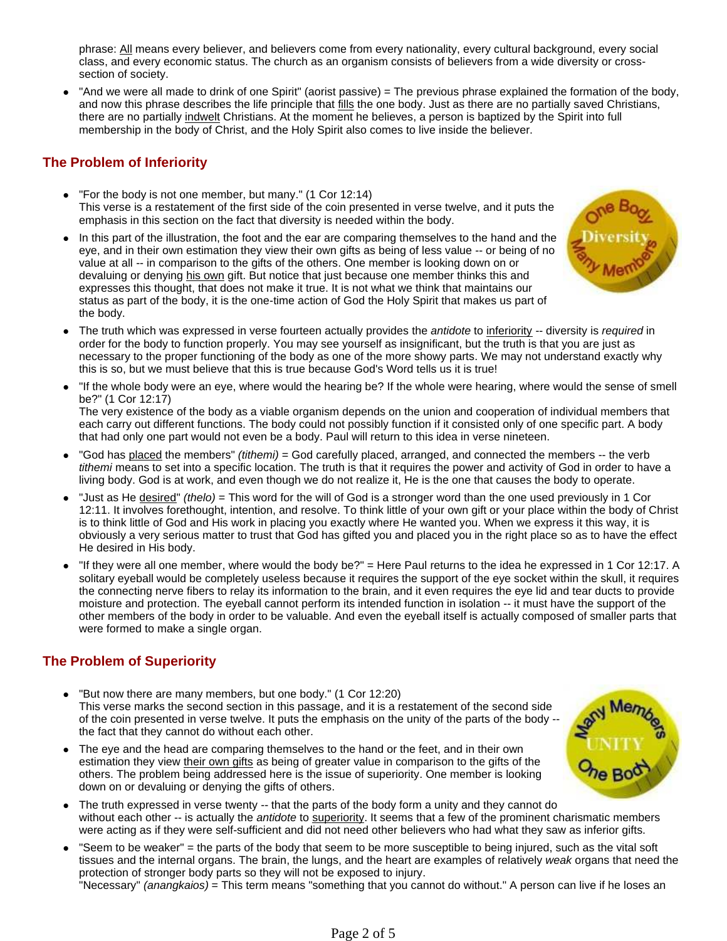phrase: All means every believer, and believers come from every nationality, every cultural background, every social class, and every economic status. The church as an organism consists of believers from a wide diversity or crosssection of society.

 "And we were all made to drink of one Spirit" (aorist passive) = The previous phrase explained the formation of the body, and now this phrase describes the life principle that fills the one body. Just as there are no partially saved Christians, there are no partially indwelt Christians. At the moment he believes, a person is baptized by the Spirit into full membership in the body of Christ, and the Holy Spirit also comes to live inside the believer.

# **The Problem of Inferiority**

- "For the body is not one member, but many." (1 Cor 12:14) This verse is a restatement of the first side of the coin presented in verse twelve, and it puts the emphasis in this section on the fact that diversity is needed within the body.
- In this part of the illustration, the foot and the ear are comparing themselves to the hand and the eye, and in their own estimation they view their own gifts as being of less value -- or being of no value at all -- in comparison to the gifts of the others. One member is looking down on or devaluing or denying his own gift. But notice that just because one member thinks this and expresses this thought, that does not make it true. It is not what we think that maintains our status as part of the body, it is the one-time action of God the Holy Spirit that makes us part of the body.
- The truth which was expressed in verse fourteen actually provides the antidote to inferiority -- diversity is required in order for the body to function properly. You may see yourself as insignificant, but the truth is that you are just as necessary to the proper functioning of the body as one of the more showy parts. We may not understand exactly why this is so, but we must believe that this is true because God's Word tells us it is true!
- "If the whole body were an eye, where would the hearing be? If the whole were hearing, where would the sense of smell be?" (1 Cor 12:17)

The very existence of the body as a viable organism depends on the union and cooperation of individual members that each carry out different functions. The body could not possibly function if it consisted only of one specific part. A body that had only one part would not even be a body. Paul will return to this idea in verse nineteen.

- "God has placed the members" (tithemi) = God carefully placed, arranged, and connected the members -- the verb tithemi means to set into a specific location. The truth is that it requires the power and activity of God in order to have a living body. God is at work, and even though we do not realize it, He is the one that causes the body to operate.
- "Just as He desired" (thelo) = This word for the will of God is a stronger word than the one used previously in 1 Cor 12:11. It involves forethought, intention, and resolve. To think little of your own gift or your place within the body of Christ is to think little of God and His work in placing you exactly where He wanted you. When we express it this way, it is obviously a very serious matter to trust that God has gifted you and placed you in the right place so as to have the effect He desired in His body.
- "If they were all one member, where would the body be?" = Here Paul returns to the idea he expressed in 1 Cor 12:17. A solitary eyeball would be completely useless because it requires the support of the eye socket within the skull, it requires the connecting nerve fibers to relay its information to the brain, and it even requires the eye lid and tear ducts to provide moisture and protection. The eyeball cannot perform its intended function in isolation -- it must have the support of the other members of the body in order to be valuable. And even the eyeball itself is actually composed of smaller parts that were formed to make a single organ.

# **The Problem of Superiority**

- "But now there are many members, but one body." (1 Cor 12:20) This verse marks the second section in this passage, and it is a restatement of the second side of the coin presented in verse twelve. It puts the emphasis on the unity of the parts of the body - the fact that they cannot do without each other.
- The eye and the head are comparing themselves to the hand or the feet, and in their own estimation they view their own gifts as being of greater value in comparison to the gifts of the others. The problem being addressed here is the issue of superiority. One member is looking down on or devaluing or denying the gifts of others.



- The truth expressed in verse twenty -- that the parts of the body form a unity and they cannot do without each other -- is actually the antidote to superiority. It seems that a few of the prominent charismatic members were acting as if they were self-sufficient and did not need other believers who had what they saw as inferior gifts.
- "Seem to be weaker" = the parts of the body that seem to be more susceptible to being injured, such as the vital soft tissues and the internal organs. The brain, the lungs, and the heart are examples of relatively weak organs that need the protection of stronger body parts so they will not be exposed to injury. "Necessary" (anangkaios) = This term means "something that you cannot do without." A person can live if he loses an

Page 2 of 5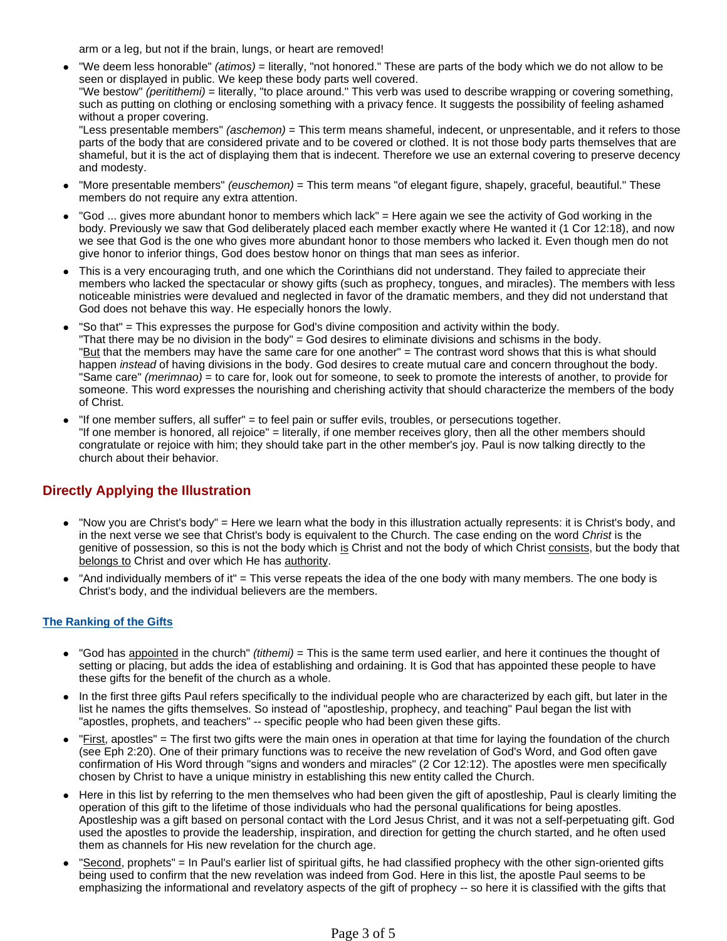arm or a leg, but not if the brain, lungs, or heart are removed!

"We deem less honorable" *(atimos)* = literally, "not honored." These are parts of the body which we do not allow to be seen or displayed in public. We keep these body parts well covered.

"We bestow" (peritithemi) = literally, "to place around." This verb was used to describe wrapping or covering something, such as putting on clothing or enclosing something with a privacy fence. It suggests the possibility of feeling ashamed without a proper covering.

"Less presentable members" *(aschemon)* = This term means shameful, indecent, or unpresentable, and it refers to those parts of the body that are considered private and to be covered or clothed. It is not those body parts themselves that are shameful, but it is the act of displaying them that is indecent. Therefore we use an external covering to preserve decency and modesty.

- "More presentable members" *(euschemon)* = This term means "of elegant figure, shapely, graceful, beautiful." These members do not require any extra attention.
- "God ... gives more abundant honor to members which lack" = Here again we see the activity of God working in the body. Previously we saw that God deliberately placed each member exactly where He wanted it (1 Cor 12:18), and now we see that God is the one who gives more abundant honor to those members who lacked it. Even though men do not give honor to inferior things, God does bestow honor on things that man sees as inferior.
- This is a very encouraging truth, and one which the Corinthians did not understand. They failed to appreciate their members who lacked the spectacular or showy gifts (such as prophecy, tongues, and miracles). The members with less noticeable ministries were devalued and neglected in favor of the dramatic members, and they did not understand that God does not behave this way. He especially honors the lowly.
- "So that" = This expresses the purpose for God's divine composition and activity within the body. "That there may be no division in the body" = God desires to eliminate divisions and schisms in the body. "But that the members may have the same care for one another" = The contrast word shows that this is what should happen *instead* of having divisions in the body. God desires to create mutual care and concern throughout the body. "Same care" (merimnao) = to care for, look out for someone, to seek to promote the interests of another, to provide for someone. This word expresses the nourishing and cherishing activity that should characterize the members of the body of Christ.
- $\bullet$  "If one member suffers, all suffer" = to feel pain or suffer evils, troubles, or persecutions together. "If one member is honored, all rejoice" = literally, if one member receives glory, then all the other members should congratulate or rejoice with him; they should take part in the other member's joy. Paul is now talking directly to the church about their behavior.

## **Directly Applying the Illustration**

- "Now you are Christ's body" = Here we learn what the body in this illustration actually represents: it is Christ's body, and in the next verse we see that Christ's body is equivalent to the Church. The case ending on the word Christ is the genitive of possession, so this is not the body which is Christ and not the body of which Christ consists, but the body that belongs to Christ and over which He has authority.
- "And individually members of it" = This verse repeats the idea of the one body with many members. The one body is Christ's body, and the individual believers are the members.

### **The Ranking of the Gifts**

- "God has appointed in the church" (tithemi) = This is the same term used earlier, and here it continues the thought of setting or placing, but adds the idea of establishing and ordaining. It is God that has appointed these people to have these gifts for the benefit of the church as a whole.
- In the first three gifts Paul refers specifically to the individual people who are characterized by each gift, but later in the list he names the gifts themselves. So instead of "apostleship, prophecy, and teaching" Paul began the list with "apostles, prophets, and teachers" -- specific people who had been given these gifts.
- "First, apostles" = The first two gifts were the main ones in operation at that time for laying the foundation of the church (see Eph 2:20). One of their primary functions was to receive the new revelation of God's Word, and God often gave confirmation of His Word through "signs and wonders and miracles" (2 Cor 12:12). The apostles were men specifically chosen by Christ to have a unique ministry in establishing this new entity called the Church.
- Here in this list by referring to the men themselves who had been given the gift of apostleship, Paul is clearly limiting the operation of this gift to the lifetime of those individuals who had the personal qualifications for being apostles. Apostleship was a gift based on personal contact with the Lord Jesus Christ, and it was not a self-perpetuating gift. God used the apostles to provide the leadership, inspiration, and direction for getting the church started, and he often used them as channels for His new revelation for the church age.
- "Second, prophets" = In Paul's earlier list of spiritual gifts, he had classified prophecy with the other sign-oriented gifts being used to confirm that the new revelation was indeed from God. Here in this list, the apostle Paul seems to be emphasizing the informational and revelatory aspects of the gift of prophecy -- so here it is classified with the gifts that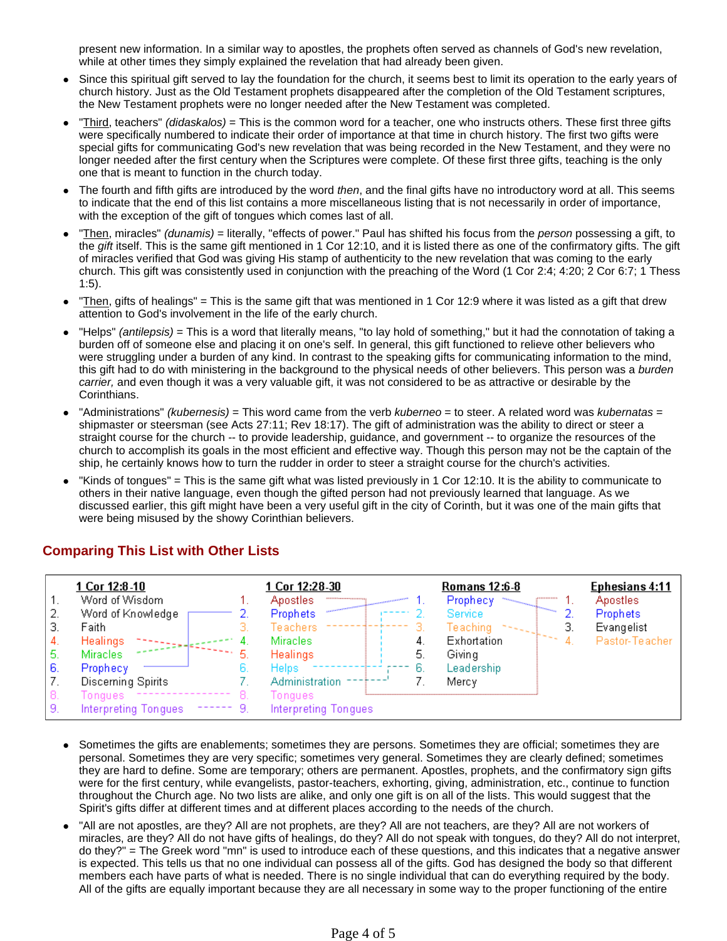present new information. In a similar way to apostles, the prophets often served as channels of God's new revelation, while at other times they simply explained the revelation that had already been given.

- Since this spiritual gift served to lay the foundation for the church, it seems best to limit its operation to the early years of church history. Just as the Old Testament prophets disappeared after the completion of the Old Testament scriptures, the New Testament prophets were no longer needed after the New Testament was completed.
- "Third, teachers" (didaskalos) = This is the common word for a teacher, one who instructs others. These first three gifts were specifically numbered to indicate their order of importance at that time in church history. The first two gifts were special gifts for communicating God's new revelation that was being recorded in the New Testament, and they were no longer needed after the first century when the Scriptures were complete. Of these first three gifts, teaching is the only one that is meant to function in the church today.
- The fourth and fifth gifts are introduced by the word then, and the final gifts have no introductory word at all. This seems to indicate that the end of this list contains a more miscellaneous listing that is not necessarily in order of importance, with the exception of the gift of tongues which comes last of all.
- Then, miracles" (dunamis) = literally, "effects of power." Paul has shifted his focus from the person possessing a gift, to the gift itself. This is the same gift mentioned in 1 Cor 12:10, and it is listed there as one of the confirmatory gifts. The gift of miracles verified that God was giving His stamp of authenticity to the new revelation that was coming to the early church. This gift was consistently used in conjunction with the preaching of the Word (1 Cor 2:4; 4:20; 2 Cor 6:7; 1 Thess 1:5).
- "Then, gifts of healings" = This is the same gift that was mentioned in 1 Cor 12:9 where it was listed as a gift that drew attention to God's involvement in the life of the early church.
- "Helps" (antilepsis) = This is a word that literally means, "to lay hold of something," but it had the connotation of taking a burden off of someone else and placing it on one's self. In general, this gift functioned to relieve other believers who were struggling under a burden of any kind. In contrast to the speaking gifts for communicating information to the mind, this gift had to do with ministering in the background to the physical needs of other believers. This person was a burden carrier, and even though it was a very valuable gift, it was not considered to be as attractive or desirable by the Corinthians.
- "Administrations" (kubernesis) = This word came from the verb kuberneo = to steer. A related word was kubernatas = shipmaster or steersman (see Acts 27:11; Rev 18:17). The gift of administration was the ability to direct or steer a straight course for the church -- to provide leadership, guidance, and government -- to organize the resources of the church to accomplish its goals in the most efficient and effective way. Though this person may not be the captain of the ship, he certainly knows how to turn the rudder in order to steer a straight course for the church's activities.
- "Kinds of tongues" = This is the same gift what was listed previously in 1 Cor 12:10. It is the ability to communicate to others in their native language, even though the gifted person had not previously learned that language. As we discussed earlier, this gift might have been a very useful gift in the city of Corinth, but it was one of the main gifts that were being misused by the showy Corinthian believers.

## **Comparing This List with Other Lists**

|     | 1 Cor 12:8-10               |    | 1 Cor 12:28-30       |    | Romans 12:6-8  |               | <b>Ephesians 4:11</b> |
|-----|-----------------------------|----|----------------------|----|----------------|---------------|-----------------------|
|     | Word of Wisdom              |    | Apostles<br>         |    | Prophecy       | <b>JUNIOR</b> | Apostles              |
|     | Word of Knowledge           |    | Prophets             |    | <b>Service</b> |               | Prophets              |
|     | Faith                       |    | Teachers             |    | Teaching       |               | Evangelist            |
|     | Healings<br>化亚氨酸树脂类         |    | <b>Miracles</b>      |    | Exhortation    |               | Pastor-Teacher        |
| ь   | <b>Miracles</b>             | 5  | <b>Healings</b>      | 5. | Giving         |               |                       |
| -6. | Prophecy                    |    | <b>Helps</b>         | b. | Leadership     |               |                       |
| -7. | Discerning Spirits          |    | Administration       |    | Mercy          |               |                       |
| 8.  | Tongues                     | В. | Tongues              |    |                |               |                       |
| 9   | <b>Interpreting Tongues</b> |    | Interpreting Tongues |    |                |               |                       |

- Sometimes the gifts are enablements; sometimes they are persons. Sometimes they are official; sometimes they are personal. Sometimes they are very specific; sometimes very general. Sometimes they are clearly defined; sometimes they are hard to define. Some are temporary; others are permanent. Apostles, prophets, and the confirmatory sign gifts were for the first century, while evangelists, pastor-teachers, exhorting, giving, administration, etc., continue to function throughout the Church age. No two lists are alike, and only one gift is on all of the lists. This would suggest that the Spirit's gifts differ at different times and at different places according to the needs of the church.
- "All are not apostles, are they? All are not prophets, are they? All are not teachers, are they? All are not workers of miracles, are they? All do not have gifts of healings, do they? All do not speak with tongues, do they? All do not interpret, do they?" = The Greek word "mn" is used to introduce each of these questions, and this indicates that a negative answer is expected. This tells us that no one individual can possess all of the gifts. God has designed the body so that different members each have parts of what is needed. There is no single individual that can do everything required by the body. All of the gifts are equally important because they are all necessary in some way to the proper functioning of the entire